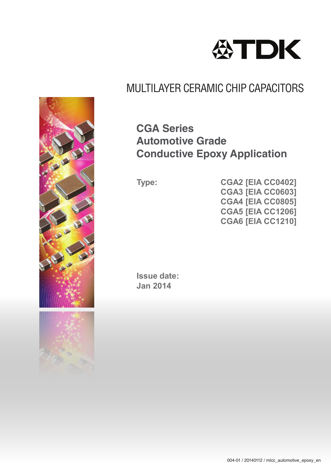

## **CGA Series Automotive Grade Conductive Epoxy Application**

**Type: CGA2 [EIA CC0402] CGA3 [EIA CC0603] CGA4 [EIA CC0805] CGA5 [EIA CC1206] CGA6 [EIA CC1210]**

**Issue date: Jan 2014**



CH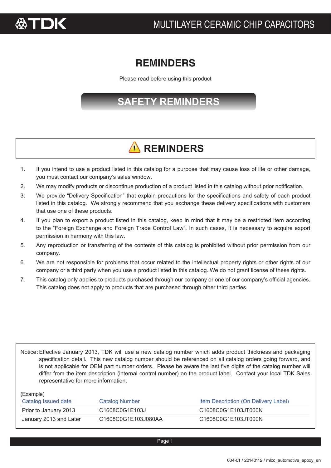

## **REMINDERS**

Please read before using this product

## **SAFETY REMINDERS**

# **A** REMINDERS

- 1. If you intend to use a product listed in this catalog for a purpose that may cause loss of life or other damage, you must contact our company's sales window.
- 2. We may modify products or discontinue production of a product listed in this catalog without prior notification.
- 3. We provide "Delivery Specification" that explain precautions for the specifications and safety of each product listed in this catalog. We strongly recommend that you exchange these delivery specifications with customers that use one of these products.
- 4. If you plan to export a product listed in this catalog, keep in mind that it may be a restricted item according to the "Foreign Exchange and Foreign Trade Control Law". In such cases, it is necessary to acquire export permission in harmony with this law.
- 5. Any reproduction or transferring of the contents of this catalog is prohibited without prior permission from our company.
- 6. We are not responsible for problems that occur related to the intellectual property rights or other rights of our company or a third party when you use a product listed in this catalog. We do not grant license of these rights.
- 7. This catalog only applies to products purchased through our company or one of our company's official agencies. This catalog does not apply to products that are purchased through other third parties.

Notice: Effective January 2013, TDK will use a new catalog number which adds product thickness and packaging specification detail. This new catalog number should be referenced on all catalog orders going forward, and is not applicable for OEM part number orders. Please be aware the last five digits of the catalog number will differ from the item description (internal control number) on the product label. Contact your local TDK Sales representative for more information.

(Example)

| Catalog Issued date    | Catalog Number      | Item Description (On Delivery Label) |
|------------------------|---------------------|--------------------------------------|
| Prior to January 2013  | C1608C0G1E103J      | C1608C0G1E103JT000N                  |
| January 2013 and Later | C1608C0G1E103J080AA | C1608C0G1E103JT000N                  |

Page 1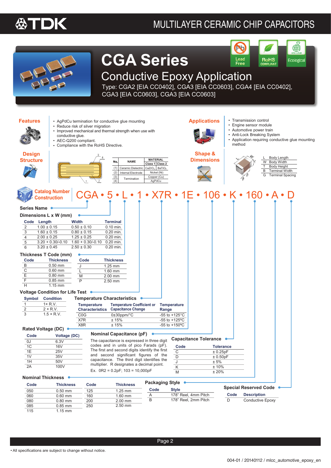



# **CGA Series**

### Lead **RoHS** Ecological Free

Conductive Epoxy Application

Type: CGA2 [EIA CC0402], CGA3 [EIA CC0603], CGA4 [EIA CC0402], CGA3 [EIA CC0603], CGA3 [EIA CC0603]

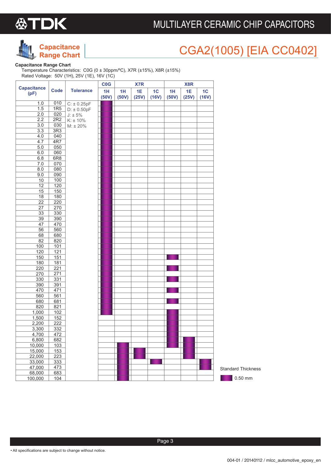



# CGA2(1005) [EIA CC0402]

#### **Capacitance Range Chart**

Temperature Characteristics: C0G (0 ± 30ppm/ºC), X7R (±15%), X8R (±15%) Rated Voltage: 50V (1H), 25V (1E), 16V (1C)

|                            |                  |                  | CO <sub>G</sub> |             | X7R                |             |             | X8R         |                         |
|----------------------------|------------------|------------------|-----------------|-------------|--------------------|-------------|-------------|-------------|-------------------------|
| <b>Capacitance</b><br>(pF) | <b>Code</b>      | <b>Tolerance</b> | 1H<br>(50V)     | 1H<br>(50V) | <b>1E</b><br>(25V) | 1C<br>(16V) | 1H<br>(50V) | 1E<br>(25V) | 1 <sub>C</sub><br>(16V) |
| 1.0                        | 010              | $C: \pm 0.25pF$  |                 |             |                    |             |             |             |                         |
| 1.5                        | 1R5              | $D: \pm 0.50pF$  |                 |             |                    |             |             |             |                         |
| 2.0                        | 020              | $J: \pm 5\%$     |                 |             |                    |             |             |             |                         |
| 2.2                        | 2R2              | $K: \pm 10\%$    |                 |             |                    |             |             |             |                         |
| 3.0                        | 030              | $M: \pm 20\%$    |                 |             |                    |             |             |             |                         |
| 3.3                        | 3R3              |                  |                 |             |                    |             |             |             |                         |
| 4.0                        | 040              |                  |                 |             |                    |             |             |             |                         |
| 4.7                        | 4R7              |                  |                 |             |                    |             |             |             |                         |
| 5.0                        | 050              |                  |                 |             |                    |             |             |             |                         |
| 6.0                        | 060              |                  |                 |             |                    |             |             |             |                         |
| 6.8                        | 6R <sub>8</sub>  |                  |                 |             |                    |             |             |             |                         |
| 7.0                        | 070              |                  |                 |             |                    |             |             |             |                         |
| 8.0                        | 080              |                  |                 |             |                    |             |             |             |                         |
| 9.0                        | 090              |                  |                 |             |                    |             |             |             |                         |
| 10                         | 100              |                  |                 |             |                    |             |             |             |                         |
| $\overline{12}$            | 120              |                  |                 |             |                    |             |             |             |                         |
| 15                         | 150              |                  |                 |             |                    |             |             |             |                         |
| 18                         | 180              |                  |                 |             |                    |             |             |             |                         |
| $\overline{22}$            | 220              |                  |                 |             |                    |             |             |             |                         |
| 27                         | 270              |                  |                 |             |                    |             |             |             |                         |
| 33                         | 330              |                  |                 |             |                    |             |             |             |                         |
| $\overline{39}$            | 390              |                  |                 |             |                    |             |             |             |                         |
| 47                         | 470              |                  |                 |             |                    |             |             |             |                         |
| 56                         | 560              |                  |                 |             |                    |             |             |             |                         |
| 68                         | 680              |                  |                 |             |                    |             |             |             |                         |
| 82                         | 820              |                  |                 |             |                    |             |             |             |                         |
| 100                        | 101              |                  |                 |             |                    |             |             |             |                         |
| 120<br>150                 | 121              |                  |                 |             |                    |             |             |             |                         |
| 180                        | 151<br>181       |                  |                 |             |                    |             |             |             |                         |
| 220                        | 221              |                  |                 |             |                    |             |             |             |                         |
| 270                        | 271              |                  |                 |             |                    |             |             |             |                         |
| 330                        | 331              |                  |                 |             |                    |             |             |             |                         |
| 390                        | 391              |                  |                 |             |                    |             |             |             |                         |
| 470                        | 471              |                  |                 |             |                    |             |             |             |                         |
| 560                        | 561              |                  |                 |             |                    |             |             |             |                         |
| 680                        | 681              |                  |                 |             |                    |             |             |             |                         |
| 820                        | 821              |                  |                 |             |                    |             |             |             |                         |
| 1,000                      | 102              |                  |                 |             |                    |             |             |             |                         |
| 1,500                      | 152              |                  |                 |             |                    |             |             |             |                         |
| 2,200                      | 222              |                  |                 |             |                    |             |             |             |                         |
| 3,300                      | 332              |                  |                 |             |                    |             |             |             |                         |
| 4,700                      | 472              |                  |                 |             |                    |             |             |             |                         |
| 6,800                      | 682              |                  |                 |             |                    |             |             |             |                         |
| 10,000                     | $103$            |                  |                 |             |                    |             |             |             |                         |
| 15,000                     | 153              |                  |                 |             |                    |             |             |             |                         |
| 22,000                     | 223              |                  |                 |             |                    |             |             |             |                         |
| 33,000                     | 333              |                  |                 |             |                    |             |             |             |                         |
| 47,000                     | 473              |                  |                 |             |                    |             |             |             |                         |
| 68,000                     | 683              |                  |                 |             |                    |             |             |             |                         |
| 100,000                    | $\overline{104}$ |                  |                 |             |                    |             |             |             |                         |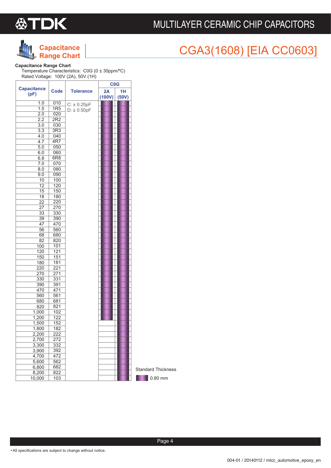

## **Capacitance Range Chart**

# CGA3(1608) [EIA CC0603]

### **Capacitance Range Chart**

Temperature Characteristics: C0G (0 ± 30ppm/ºC) Rated Voltage: 100V (2A), 50V (1H)

|                    |                 |                  | <b>C<sub>0</sub>G</b> |       |                           |
|--------------------|-----------------|------------------|-----------------------|-------|---------------------------|
| <b>Capacitance</b> | <b>Code</b>     | <b>Tolerance</b> | 2A                    | 1H    |                           |
| (pF)               |                 |                  | (100V)                | (50V) |                           |
| 1.0                | 010             | $C: \pm 0.25pF$  |                       |       |                           |
| 1.5                | 1R5             | $D: \pm 0.50pF$  |                       |       |                           |
| 2.0                | 020             |                  |                       |       |                           |
| 2.2                | 2R2             |                  |                       |       |                           |
| 3.0                | 030             |                  |                       |       |                           |
| $\overline{3.3}$   | 3R3             |                  |                       |       |                           |
| 4.0                | 040             |                  |                       |       |                           |
| 4.7                | 4R7             |                  |                       |       |                           |
| 5.0                | 050             |                  |                       |       |                           |
| 6.0                | 060             |                  |                       |       |                           |
| 6.8                | 6R <sub>8</sub> |                  |                       |       |                           |
| 7.0                | 070             |                  |                       |       |                           |
| 8.0                | 080             |                  |                       |       |                           |
| 9.0                | 090             |                  |                       |       |                           |
| $\overline{10}$    | 100             |                  |                       |       |                           |
| 12                 | 120             |                  |                       |       |                           |
| 15                 | 150             |                  |                       |       |                           |
| $\overline{18}$    | 180             |                  |                       |       |                           |
| 22                 | 220             |                  |                       |       |                           |
| $\overline{27}$    | 270             |                  |                       |       |                           |
| 33                 | 330             |                  |                       |       |                           |
| 39                 | 390             |                  |                       |       |                           |
| 47                 | 470             |                  |                       |       |                           |
| 56                 | 560             |                  |                       |       |                           |
| 68<br>82           | 680<br>820      |                  |                       |       |                           |
| 100                | 101             |                  |                       |       |                           |
| 120                | 121             |                  |                       |       |                           |
| 150                | 151             |                  |                       |       |                           |
| 180                | 181             |                  |                       |       |                           |
| 220                | 221             |                  |                       |       |                           |
| 270                | 271             |                  |                       |       |                           |
| 330                | 331             |                  |                       |       |                           |
| 390                | 391             |                  |                       |       |                           |
| 470                | 471             |                  |                       |       |                           |
| 560                | 561             |                  |                       |       |                           |
| 680                | 681             |                  |                       |       |                           |
| 820                | 821             |                  |                       |       |                           |
| 1,000              | 102             |                  |                       |       |                           |
| 1,200              | 122             |                  |                       |       |                           |
| 1,500              | 152             |                  |                       |       |                           |
| 1,800              | 182             |                  |                       |       |                           |
| 2,200              | 222             |                  |                       |       |                           |
| 2,700              | 272             |                  |                       |       |                           |
| 3,300              | 332             |                  |                       |       |                           |
| 3,900              | 392             |                  |                       |       |                           |
| 4,700              | 472             |                  |                       |       |                           |
| 5,600              | 562             |                  |                       |       |                           |
| 6,800              | 682             |                  |                       |       | <b>Standard Thickness</b> |
| 8,200              | 822             |                  |                       |       |                           |
| 10,000             | 103             |                  |                       |       | 0.80 mm                   |

• All specifications are subject to change without notice.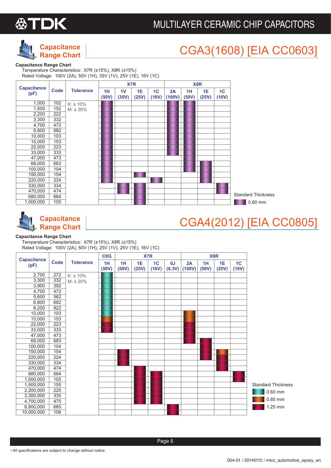



# CGA3(1608) [EIA CC0603]

#### **Capacitance Range Chart**

Temperature Characteristics: X7R (±15%), X8R (±15%) Rated Voltage: 100V (2A), 50V (1H), 35V (1V), 25V (1E), 16V (1C)





## CGA4(2012) [EIA CC0805]

#### **Capacitance Range Chart**

Temperature Characteristics: X7R (±15%), X8R (±15%) Rated Voltage: 100V (2A), 50V (1H), 25V (1V), 25V (1E), 16V (1C)

|                            |      |                  | CO <sub>G</sub> |             |             | X7R         |              |              |             | X8R         |             |                           |
|----------------------------|------|------------------|-----------------|-------------|-------------|-------------|--------------|--------------|-------------|-------------|-------------|---------------------------|
| <b>Capacitance</b><br>(pF) | Code | <b>Tolerance</b> | 1H<br>(50V)     | 1H<br>(50V) | 1E<br>(25V) | 1C<br>(16V) | 0J<br>(6.3V) | 2A<br>(100V) | 1H<br>(50V) | 1E<br>(25V) | 1C<br>(16V) |                           |
| 2,700                      | 272  | $K: \pm 10\%$    |                 |             |             |             |              |              |             |             |             |                           |
| 3,300                      | 332  | $M: \pm 20\%$    |                 |             |             |             |              |              |             |             |             |                           |
| 3,900                      | 392  |                  |                 |             |             |             |              |              |             |             |             |                           |
| 4,700                      | 472  |                  |                 |             |             |             |              |              |             |             |             |                           |
| 5,600                      | 562  |                  |                 |             |             |             |              |              |             |             |             |                           |
| 6,800                      | 682  |                  |                 |             |             |             |              |              |             |             |             |                           |
| 8,200                      | 822  |                  |                 |             |             |             |              |              |             |             |             |                           |
| 10,000                     | 103  |                  |                 |             |             |             |              |              |             |             |             |                           |
| 15,000                     | 153  |                  |                 |             |             |             |              |              |             |             |             |                           |
| 22,000                     | 223  |                  |                 |             |             |             |              |              |             |             |             |                           |
| 33,000                     | 333  |                  |                 |             |             |             |              |              |             |             |             |                           |
| 47,000                     | 473  |                  |                 |             |             |             |              |              |             |             |             |                           |
| 68,000                     | 683  |                  |                 |             |             |             |              |              |             |             |             |                           |
| 100,000                    | 104  |                  |                 |             |             |             |              |              |             |             |             |                           |
| 150,000                    | 154  |                  |                 |             |             |             |              |              |             |             |             |                           |
| 220,000                    | 224  |                  |                 |             |             |             |              |              |             |             |             |                           |
| 330,000                    | 334  |                  |                 |             |             |             |              |              |             |             |             |                           |
| 470,000                    | 474  |                  |                 |             |             |             |              |              |             |             |             |                           |
| 680,000                    | 684  |                  |                 |             |             |             |              |              |             |             |             |                           |
| 1,000,000                  | 105  |                  |                 |             |             |             |              |              |             |             |             |                           |
| 1,500,000                  | 155  |                  |                 |             |             |             |              |              |             |             |             | <b>Standard Thickness</b> |
| 2,200,000                  | 225  |                  |                 |             |             |             |              |              |             |             |             | $0.60$ mm                 |
| 3,300,000                  | 335  |                  |                 |             |             |             |              |              |             |             |             |                           |
| 4,700,000                  | 475  |                  |                 |             |             |             |              |              |             |             |             | 0.85 mm                   |
| 6,800,000                  | 685  |                  |                 |             |             |             |              |              |             |             |             | 1.25 mm                   |
| 10,000,000                 | 106  |                  |                 |             |             |             |              |              |             |             |             |                           |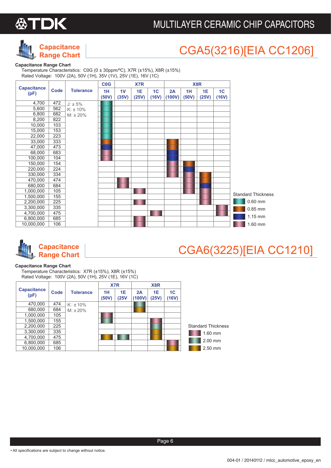



# CGA5(3216)[EIA CC1206]

#### **Capacitance Range Chart**

Temperature Characteristics: C0G (0 ± 30ppm/ºC), X7R (±15%), X8R (±15%) Rated Voltage: 100V (2A), 50V (1H), 35V (1V), 25V (1E), 16V (1C)

|                            |             |                  | <b>C<sub>0</sub>G</b> |             | X7R         |                         |              |             | X8R         |                         |                           |
|----------------------------|-------------|------------------|-----------------------|-------------|-------------|-------------------------|--------------|-------------|-------------|-------------------------|---------------------------|
| <b>Capacitance</b><br>(pF) | <b>Code</b> | <b>Tolerance</b> | 1H<br>(50V)           | 1V<br>(35V) | 1E<br>(25V) | 1 <sub>C</sub><br>(16V) | 2A<br>(100V) | 1H<br>(50V) | 1E<br>(25V) | 1 <sub>C</sub><br>(16V) |                           |
| 4,700                      | 472         | $J: \pm 5\%$     |                       |             |             |                         |              |             |             |                         |                           |
| 5,600                      | 562         | $K: \pm 10\%$    |                       |             |             |                         |              |             |             |                         |                           |
| 6,800                      | 682         | $M: \pm 20\%$    |                       |             |             |                         |              |             |             |                         |                           |
| 8,200                      | 822         |                  |                       |             |             |                         |              |             |             |                         |                           |
| 10,000                     | 103         |                  |                       |             |             |                         |              |             |             |                         |                           |
| 15,000                     | 153         |                  |                       |             |             |                         |              |             |             |                         |                           |
| 22,000                     | 223         |                  |                       |             |             |                         |              |             |             |                         |                           |
| 33,000                     | 333         |                  |                       |             |             |                         |              |             |             |                         |                           |
| 47,000                     | 473         |                  |                       |             |             |                         |              |             |             |                         |                           |
| 68,000                     | 683         |                  |                       |             |             |                         |              |             |             |                         |                           |
| 100,000                    | 104         |                  |                       |             |             |                         |              |             |             |                         |                           |
| 150,000                    | 154         |                  |                       |             |             |                         |              |             |             |                         |                           |
| 220,000                    | 224         |                  |                       |             |             |                         |              |             |             |                         |                           |
| 330,000                    | 334         |                  |                       |             |             |                         |              |             |             |                         |                           |
| 470,000                    | 474         |                  |                       |             |             |                         |              |             |             |                         |                           |
| 680,000                    | 684         |                  |                       |             |             |                         |              |             |             |                         |                           |
| 1,000,000                  | 105         |                  |                       |             |             |                         |              |             |             |                         | <b>Standard Thickness</b> |
| 1,500,000                  | 155         |                  |                       |             |             |                         |              |             |             |                         |                           |
| 2,200,000                  | 225         |                  |                       |             |             |                         |              |             |             |                         | $0.60$ mm                 |
| 3,300,000                  | 335         |                  |                       |             |             |                         |              |             |             |                         | 0.85 mm                   |
| 4,700,000                  | 475         |                  |                       |             |             |                         |              |             |             |                         |                           |
| 6,800,000                  | 685         |                  |                       |             |             |                         |              |             |             |                         | $1.15$ mm                 |
| 10,000,000                 | 106         |                  |                       |             |             |                         |              |             |             |                         | 1.60 mm                   |



# CGA6(3225)[EIA CC1210]

#### **Capacitance Range Chart**

Temperature Characteristics: X7R (±15%), X8R (±15%) Rated Voltage: 100V (2A), 50V (1H), 25V (1E), 16V (1C)

|                            |      |                  |             | X7R        |              | X8R         |             |                           |
|----------------------------|------|------------------|-------------|------------|--------------|-------------|-------------|---------------------------|
| <b>Capacitance</b><br>(pF) | Code | <b>Tolerance</b> | 1H<br>(50V) | 1E<br>(25V | 2A<br>(100V) | 1E<br>(25V) | 1C<br>(16V) |                           |
| 470,000                    | 474  | $K: \pm 10\%$    |             |            |              |             |             |                           |
| 680,000                    | 684  | $M: \pm 20\%$    |             |            |              |             |             |                           |
| 1,000,000                  | 105  |                  |             |            |              |             |             |                           |
| 1,500,000                  | 155  |                  |             |            |              |             |             |                           |
| 2,200,000                  | 225  |                  |             |            |              |             |             | <b>Standard Thickness</b> |
| 3,300,000                  | 335  |                  |             |            |              |             |             | 1.60 mm                   |
| 4,700,000                  | 475  |                  |             |            |              |             |             |                           |
| 6,800,000                  | 685  |                  |             |            |              |             |             | 2.00 mm                   |
| 10,000,000                 | 106  |                  |             |            |              |             |             | 2.50 mm                   |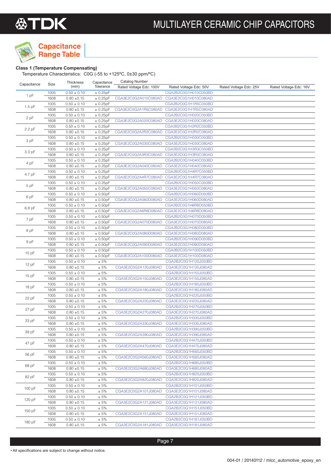

## **Capacitance Range Table**

### **Class 1 (Temperature Compensating)**

Temperature Characteristics: C0G (-55 to +125ºC, 0±30 ppm/ºC)

| Capacitance | Size         | Thickness       | Capacitance | Catalog Number          |                                           |                        |                        |
|-------------|--------------|-----------------|-------------|-------------------------|-------------------------------------------|------------------------|------------------------|
|             |              | (mm)            | Tolerance   | Rated Voltage Edc: 100V | Rated Voltage Edc: 50V                    | Rated Voltage Edc: 25V | Rated Voltage Edc: 16V |
| 1 pF        | 1005         | $0.50 \pm 0.10$ | ± 0.25pF    |                         | CGA2B2C0G1H010C050BD                      |                        |                        |
|             | 1608         | $0.80 \pm 0.15$ | ± 0.25pF    | CGA3E2C0G2A010C080AD    | CGA3E2C0G1H010C080AD                      |                        |                        |
| $1.5$ pF    | 1005         | $0.50 \pm 0.10$ | ± 0.25pF    |                         | CGA2B2C0G1H1R5C050BD                      |                        |                        |
|             | 1608         | $0.80 \pm 0.15$ | ± 0.25pF    |                         | CGA3E2C0G2A1R5C080AD CGA3E2C0G1H1R5C080AD |                        |                        |
| 2 pF        | 1005         | $0.50 \pm 0.10$ | ± 0.25pF    |                         | CGA2B2C0G1H020C050BD                      |                        |                        |
|             | 1608         | $0.80 \pm 0.15$ | ± 0.25pF    | CGA3E2C0G2A020C080AD    | CGA3E2C0G1H020C080AD                      |                        |                        |
| 2.2 pF      | 1005         | $0.50 \pm 0.10$ | ± 0.25pF    |                         | CGA2B2C0G1H2R2C050BD                      |                        |                        |
|             | 1608         | $0.80 \pm 0.15$ | ± 0.25pF    | CGA3E2C0G2A2R2C080AD    | CGA3E2C0G1H2R2C080AD                      |                        |                        |
| 3 pF        | 1005         | $0.50 \pm 0.10$ | ± 0.25pF    |                         | CGA2B2C0G1H030C050BD                      |                        |                        |
|             | 1608         | $0.80 \pm 0.15$ | ± 0.25pF    | CGA3E2C0G2A030C080AD    | CGA3E2C0G1H030C080AD                      |                        |                        |
| 3.3 pF      | 1005         | $0.50 \pm 0.10$ | ± 0.25pF    |                         | CGA2B2C0G1H3R3C050BD                      |                        |                        |
|             | 1608         | $0.80 \pm 0.15$ | ± 0.25pF    | CGA3E2C0G2A3R3C080AD    | CGA3E2C0G1H3R3C080AD                      |                        |                        |
| 4 pF        | 1005         | $0.50 \pm 0.10$ | ± 0.25pF    |                         | CGA2B2C0G1H040C050BD                      |                        |                        |
|             | 1608         | $0.80 \pm 0.15$ | ± 0.25pF    | CGA3E2C0G2A040C080AD    | CGA3E2C0G1H040C080AD                      |                        |                        |
|             | 1005         | $0.50 \pm 0.10$ | ± 0.25pF    |                         | CGA2B2C0G1H4R7C050BD                      |                        |                        |
| 4.7 pF      | 1608         | $0.80 \pm 0.15$ | ± 0.25pF    | CGA3E2C0G2A4R7C080AD    | CGA3E2C0G1H4R7C080AD                      |                        |                        |
|             | 1005         | $0.50 \pm 0.10$ | ± 0.25pF    |                         | CGA2B2C0G1H050C050BD                      |                        |                        |
| 5 pF        | 1608         | $0.80 \pm 0.15$ | ± 0.25pF    | CGA3E2C0G2A050C080AD    | CGA3E2C0G1H050C080AD                      |                        |                        |
|             | 1005         | $0.50 \pm 0.10$ | ± 0.50pF    |                         | CGA2B2C0G1H060D050BD                      |                        |                        |
| 6 pF        | 1608         | $0.80 \pm 0.15$ | ± 0.50pF    | CGA3E2C0G2A060D080AD    | CGA3E2C0G1H060D080AD                      |                        |                        |
|             | 1005         | $0.50 \pm 0.10$ | ± 0.50pF    |                         | CGA2B2C0G1H6R8D050BD                      |                        |                        |
| 6.8 pF      | 1608         | $0.80 \pm 0.15$ | ± 0.50pF    | CGA3E2C0G2A6R8D080AD    | CGA3E2C0G1H6R8D080AD                      |                        |                        |
|             | 1005         | $0.50 \pm 0.10$ | ± 0.50pF    |                         | CGA2B2C0G1H070D050BD                      |                        |                        |
| 7 pF        | 1608         | $0.80 \pm 0.15$ | ± 0.50pF    | CGA3E2C0G2A070D080AD    | CGA3E2C0G1H070D080AD                      |                        |                        |
|             | 1005         | $0.50 \pm 0.10$ | ± 0.50pF    |                         | CGA2B2C0G1H080D050BD                      |                        |                        |
| 8 pF        | 1608         | $0.80 \pm 0.15$ | ± 0.50pF    | CGA3E2C0G2A080D080AD    | CGA3E2C0G1H080D080AD                      |                        |                        |
|             | 1005         | $0.50 \pm 0.10$ | ± 0.50pF    |                         | CGA2B2C0G1H090D050BD                      |                        |                        |
| 9 pF        | 1608         | $0.80 \pm 0.15$ | ± 0.50pF    | CGA3E2C0G2A090D080AD    | CGA3E2C0G1H090D080AD                      |                        |                        |
|             | 1005         | $0.50 \pm 0.10$ | ± 0.50pF    |                         | CGA2B2C0G1H100D050BD                      |                        |                        |
| 10 pF       | 1608         | $0.80 \pm 0.15$ | ± 0.50pF    | CGA3E2C0G2A100D080AD    | CGA3E2C0G1H100D080AD                      |                        |                        |
|             | 1005         | $0.50 \pm 0.10$ | $\pm 5\%$   |                         | CGA2B2C0G1H120J050BD                      |                        |                        |
| 12 pF       | 1608         | $0.80 \pm 0.15$ | $\pm 5\%$   | CGA3E2C0G2A120J080AD    | CGA3E2C0G1H120J080AD                      |                        |                        |
|             | 1005         | $0.50 \pm 0.10$ | $\pm 5\%$   |                         | CGA2B2C0G1H150J050BD                      |                        |                        |
| 15 pF       | 1608         | $0.80 \pm 0.15$ | $\pm 5\%$   | CGA3E2C0G2A150J080AD    | CGA3E2C0G1H150J080AD                      |                        |                        |
|             | 1005         | $0.50 \pm 0.10$ | $\pm 5\%$   |                         | CGA2B2C0G1H180J050BD                      |                        |                        |
| 18 pF       | 1608         | $0.80 \pm 0.15$ | $\pm 5\%$   | CGA3E2C0G2A180J080AD    | CGA3E2C0G1H180J080AD                      |                        |                        |
|             | 1005         | $0.50 \pm 0.10$ | $\pm 5\%$   |                         | CGA2B2C0G1H220J050BD                      |                        |                        |
| 22 pF       | 1608         | $0.80 \pm 0.15$ | $\pm 5\%$   | CGA3E2C0G2A220J080AD    | CGA3E2C0G1H220J080AD                      |                        |                        |
|             | 1005         | $0.50 \pm 0.10$ | $\pm 5\%$   |                         | CGA2B2C0G1H270J050BD                      |                        |                        |
| 27 pF       | 1608         | $0.80 \pm 0.15$ | $\pm 5\%$   | CGA3E2C0G2A270J080AD    | CGA3E2C0G1H270J080AD                      |                        |                        |
|             |              |                 | ± 5%        |                         |                                           |                        |                        |
| 33 pF       | 1005<br>1608 | $0.50 \pm 0.10$ |             |                         | CGA2B2C0G1H330J050BD                      |                        |                        |
|             |              | $0.80 \pm 0.15$ | ± 5%        | CGA3E2C0G2A330J080AD    | CGA3E2C0G1H330J080AD                      |                        |                        |
| 39 pF       | 1005         | $0.50 \pm 0.10$ | ± 5%        |                         | CGA2B2C0G1H390J050BD                      |                        |                        |
|             | 1608         | $0.80 \pm 0.15$ | ± 5%        | CGA3E2C0G2A390J080AD    | CGA3E2C0G1H390J080AD                      |                        |                        |
| 47 pF       | 1005         | $0.50 \pm 0.10$ | ± 5%        |                         | CGA2B2C0G1H470J050BD                      |                        |                        |
|             | 1608         | $0.80 \pm 0.15$ | $\pm 5\%$   | CGA3E2C0G2A470J080AD    | CGA3E2C0G1H470J080AD                      |                        |                        |
| 56 pF       | 1005         | $0.50 \pm 0.10$ | ± 5%        |                         | CGA2B2C0G1H560J050BD                      |                        |                        |
|             | 1608         | $0.80 \pm 0.15$ | ± 5%        | CGA3E2C0G2A560J080AD    | CGA3E2C0G1H560J080AD                      |                        |                        |
| 68 pF       | 1005         | $0.50 \pm 0.10$ | $\pm 5\%$   |                         | CGA2B2C0G1H680J050BD                      |                        |                        |
|             | 1608         | $0.80 \pm 0.15$ | ± 5%        | CGA3E2C0G2A680J080AD    | CGA3E2C0G1H680J080AD                      |                        |                        |
| 82 pF       | 1005         | $0.50 \pm 0.10$ | ± 5%        |                         | CGA2B2C0G1H820J050BD                      |                        |                        |
|             | 1608         | $0.80 \pm 0.15$ | $\pm 5\%$   | CGA3E2C0G2A820J080AD    | CGA3E2C0G1H820J080AD                      |                        |                        |
| 100 pF      | 1005         | $0.50 \pm 0.10$ | ± 5%        |                         | CGA2B2C0G1H101J050BD                      |                        |                        |
|             | 1608         | $0.80 \pm 0.15$ | $\pm 5\%$   | CGA3E2C0G2A101J080AD    | CGA3E2C0G1H101J080AD                      |                        |                        |
| 120 pF      | 1005         | $0.50 \pm 0.10$ | $\pm 5\%$   |                         | CGA2B2C0G1H121J050BD                      |                        |                        |
|             | 1608         | $0.80 \pm 0.15$ | ± 5%        | CGA3E2C0G2A121J080AD    | CGA3E2C0G1H121J080AD                      |                        |                        |
| 150 pF      | 1005         | $0.50 \pm 0.10$ | ± 5%        |                         | CGA2B2C0G1H151J050BD                      |                        |                        |
|             | 1608         | $0.80 \pm 0.15$ | $\pm 5\%$   | CGA3E2C0G2A151J080AD    | CGA3E2C0G1H151J080AD                      |                        |                        |
| 180 pF      | 1005         | $0.50 \pm 0.10$ | ± 5%        |                         | CGA2B2C0G1H181J050BD                      |                        |                        |
|             | 1608         | $0.80 \pm 0.15$ | ± 5%        | CGA3E2C0G2A181J080AD    | CGA3E2C0G1H181J080AD                      |                        |                        |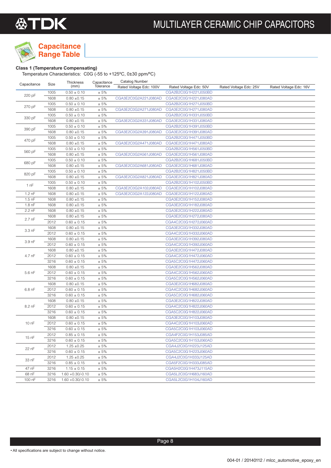

## **Capacitance Range Table**

### **Class 1 (Temperature Compensating)**

Temperature Characteristics: C0G (-55 to +125ºC, 0±30 ppm/ºC)

| Capacitance       | Size         | Thickness                          | Capacitance  | <b>Catalog Number</b>   |                                              |                        |                        |
|-------------------|--------------|------------------------------------|--------------|-------------------------|----------------------------------------------|------------------------|------------------------|
|                   |              | (mm)                               | Tolerance    | Rated Voltage Edc: 100V | Rated Voltage Edc: 50V                       | Rated Voltage Edc: 25V | Rated Voltage Edc: 16V |
|                   | 1005         | $0.50 \pm 0.10$                    | ± 5%         |                         | CGA2B2C0G1H221J050BD                         |                        |                        |
| 220 pF            | 1608         | $0.80 \pm 0.15$                    | ± 5%         | CGA3E2C0G2A221J080AD    | CGA3E2C0G1H221J080AD                         |                        |                        |
|                   | 1005         | $0.50 \pm 0.10$                    | ± 5%         |                         | CGA2B2C0G1H271J050BD                         |                        |                        |
| 270 pF            | 1608         | $0.80 \pm 0.15$                    | $\pm 5\%$    | CGA3E2C0G2A271J080AD    | CGA3E2C0G1H271J080AD                         |                        |                        |
|                   | 1005         | $0.50 \pm 0.10$                    | ± 5%         |                         | CGA2B2C0G1H331J050BD                         |                        |                        |
| 330 pF            | 1608         | $0.80 \pm 0.15$                    | ± 5%         | CGA3E2C0G2A331J080AD    | CGA3E2C0G1H331J080AD                         |                        |                        |
|                   | 1005         | $0.50 \pm 0.10$                    | ± 5%         |                         | CGA2B2C0G1H391J050BD                         |                        |                        |
| 390 pF            | 1608         | $0.80 \pm 0.15$                    | $\pm 5\%$    | CGA3E2C0G2A391J080AD    | CGA3E2C0G1H391J080AD                         |                        |                        |
|                   | 1005         | $0.50 \pm 0.10$                    | ± 5%         |                         | CGA2B2C0G1H471J050BD                         |                        |                        |
| 470 pF            | 1608         | $0.80 \pm 0.15$                    | $\pm 5\%$    | CGA3E2C0G2A471J080AD    | CGA3E2C0G1H471J080AD                         |                        |                        |
|                   | 1005         | $0.50 \pm 0.10$                    | $\pm 5\%$    |                         | CGA2B2C0G1H561J050BD                         |                        |                        |
| 560 pF            | 1608         | $0.80 \pm 0.15$                    | ± 5%         | CGA3E2C0G2A561J080AD    | CGA3E2C0G1H561J080AD                         |                        |                        |
|                   | 1005         | $0.50 \pm 0.10$                    | $\pm 5\%$    |                         | CGA2B2C0G1H681J050BD                         |                        |                        |
| 680 pF            | 1608         | $0.80 \pm 0.15$                    | $\pm 5\%$    | CGA3E2C0G2A681J080AD    | CGA3E2C0G1H681J080AD                         |                        |                        |
|                   | 1005         | $0.50 \pm 0.10$                    | ± 5%         |                         | CGA2B2C0G1H821J050BD                         |                        |                        |
| 820 pF            | 1608         | $0.80 \pm 0.15$                    | $\pm 5\%$    | CGA3E2C0G2A821J080AD    | CGA3E2C0G1H821J080AD                         |                        |                        |
|                   | 1005         | $0.50 \pm 0.10$                    | ± 5%         |                         | CGA2B2C0G1H102J050BD                         |                        |                        |
| 1 nF              | 1608         | $0.80 \pm 0.15$                    | $\pm 5\%$    | CGA3E2C0G2A102J080AD    | CGA3E2C0G1H102J080AD                         |                        |                        |
| $1.2$ nF          | 1608         | $0.80 \pm 0.15$                    | ± 5%         | CGA3E2C0G2A122J080AD    | CGA3E2C0G1H122J080AD                         |                        |                        |
| $1.5$ nF          | 1608         | $0.80 \pm 0.15$                    | ± 5%         |                         | CGA3E2C0G1H152J080AD                         |                        |                        |
| 1.8 <sub>nF</sub> | 1608         | $0.80 \pm 0.15$                    | ± 5%         |                         | CGA3E2C0G1H182J080AD                         |                        |                        |
| 2.2 nF            | 1608         | $0.80 \pm 0.15$                    | ± 5%         |                         | CGA3E2C0G1H222J080AD                         |                        |                        |
|                   | 1608         | $0.80 \pm 0.15$                    | ± 5%         |                         | CGA3E2C0G1H272J080AD                         |                        |                        |
| 2.7 nF            | 2012         | $0.60 \pm 0.15$                    | $\pm 5\%$    |                         | CGA4C2C0G1H272J060AD                         |                        |                        |
|                   |              | $0.80 \pm 0.15$                    | ± 5%         |                         |                                              |                        |                        |
| 3.3 nF            | 1608<br>2012 |                                    |              |                         | CGA3E2C0G1H332J080AD<br>CGA4C2C0G1H332J060AD |                        |                        |
|                   |              | $0.60 \pm 0.15$<br>$0.80 \pm 0.15$ | ± 5%<br>± 5% |                         | CGA3E2C0G1H392J080AD                         |                        |                        |
| 3.9 nF            | 1608<br>2012 |                                    | ± 5%         |                         |                                              |                        |                        |
|                   |              | $0.60 \pm 0.15$                    |              |                         | CGA4C2C0G1H392J060AD                         |                        |                        |
|                   | 1608         | $0.80 \pm 0.15$                    | ± 5%         |                         | CGA3E2C0G1H472J080AD                         |                        |                        |
| 4.7 nF            | 2012         | $0.60 \pm 0.15$                    | $\pm 5\%$    |                         | CGA4C2C0G1H472J060AD                         |                        |                        |
|                   | 3216         | $0.60 \pm 0.15$                    | ± 5%         |                         | CGA5C2C0G1H472J060AD                         |                        |                        |
|                   | 1608         | $0.80 \pm 0.15$                    | $\pm 5\%$    |                         | CGA3E2C0G1H562J080AD                         |                        |                        |
| 5.6 nF            | 2012         | $0.60 \pm 0.15$                    | ± 5%         |                         | CGA4C2C0G1H562J060AD                         |                        |                        |
|                   | 3216         | $0.60 \pm 0.15$                    | ± 5%         |                         | CGA5C2C0G1H562J060AD                         |                        |                        |
|                   | 1608         | $0.80 \pm 0.15$                    | ± 5%         |                         | CGA3E2C0G1H682J080AD                         |                        |                        |
| 6.8 nF            | 2012         | $0.60 \pm 0.15$                    | ± 5%         |                         | CGA4C2C0G1H682J060AD                         |                        |                        |
|                   | 3216         | $0.60 \pm 0.15$                    | ± 5%         |                         | CGA5C2C0G1H682J060AD                         |                        |                        |
|                   | 1608         | $0.80 \pm 0.15$                    | ± 5%         |                         | CGA3E2C0G1H822J080AD                         |                        |                        |
| 8.2 nF            | 2012         | $0.60 \pm 0.15$                    | ± 5%         |                         | CGA4C2C0G1H822J060AD                         |                        |                        |
|                   | 3216         | $0.60 \pm 0.15$                    | $\pm 5\%$    |                         | CGA5C2C0G1H822J060AD                         |                        |                        |
|                   | 1608         | $0.80 \pm 0.15$                    | ± 5%         |                         | CGA3E2C0G1H103J080AD                         |                        |                        |
| 10 nF             | 2012         | $0.60 \pm 0.15$                    | ± 5%         |                         | CGA4C2C0G1H103J060AD                         |                        |                        |
|                   | 3216         | $0.60 \pm 0.15$                    | ± 5%         |                         | CGA5C2C0G1H103J060AD                         |                        |                        |
| 15 nF             | 2012         | $0.85 \pm 0.15$                    | ± 5%         |                         | CGA4F2C0G1H153J085AD                         |                        |                        |
|                   | 3216         | $0.60 \pm 0.15$                    | ± 5%         |                         | CGA5C2C0G1H153J060AD                         |                        |                        |
| 22 nF             | 2012         | $1.25 \pm 0.25$                    | ± 5%         |                         | CGA4J2C0G1H223J125AD                         |                        |                        |
|                   | 3216         | $0.60 \pm 0.15$                    | ± 5%         |                         | CGA5C2C0G1H223J060AD                         |                        |                        |
| 33 nF             | 2012         | $1.25 \pm 0.25$                    | ± 5%         |                         | CGA4J2C0G1H333J125AD                         |                        |                        |
|                   | 3216         | $0.85 \pm 0.15$                    | ± 5%         |                         | CGA5F2C0G1H333J085AD                         |                        |                        |
| 47 nF             | 3216         | $1.15 \pm 0.15$                    | ± 5%         |                         | CGA5H2C0G1H473J115AD                         |                        |                        |
| 68 nF             | 3216         | $1.60 + 0.30/-0.10$                | ± 5%         |                         | CGA5L2C0G1H683J160AD                         |                        |                        |
| 100 nF            | 3216         | $1.60 + 0.30/-0.10$                | ± 5%         |                         | CGA5L2C0G1H104J160AD                         |                        |                        |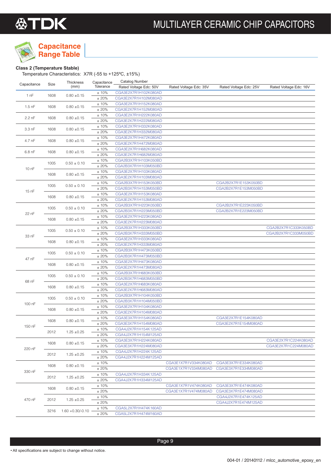

## **Capacitance Range Table**

### **Class 2 (Temperature Stable)**

Temperature Characteristics: X7R (-55 to +125ºC, ±15%)

|             |      | Thickness                  | Capacitance | Catalog Number         |                        |                        |                        |
|-------------|------|----------------------------|-------------|------------------------|------------------------|------------------------|------------------------|
| Capacitance | Size | (mm)                       | Tolerance   | Rated Voltage Edc: 50V | Rated Voltage Edc: 35V | Rated Voltage Edc: 25V | Rated Voltage Edc: 16V |
|             |      |                            | ±10%        | CGA3E2X7R1H102K080AD   |                        |                        |                        |
| 1 nF        | 1608 | $0.80 \pm 0.15$            | ±20%        | CGA3E2X7R1H102M080AD   |                        |                        |                        |
|             |      |                            |             |                        |                        |                        |                        |
| $1.5$ nF    | 1608 | $0.80 \pm 0.15$            | $\pm$ 10%   | CGA3E2X7R1H152K080AD   |                        |                        |                        |
|             |      |                            | ±20%        | CGA3E2X7R1H152M080AD   |                        |                        |                        |
| 2.2 nF      | 1608 | $0.80 \pm 0.15$            | ±10%        | CGA3E2X7R1H222K080AD   |                        |                        |                        |
|             |      |                            | ±20%        | CGA3E2X7R1H222M080AD   |                        |                        |                        |
|             |      |                            | ±10%        | CGA3E2X7R1H332K080AD   |                        |                        |                        |
| $3.3$ nF    | 1608 | $0.80 \pm 0.15$            | $\pm$ 20%   | CGA3E2X7R1H332M080AD   |                        |                        |                        |
|             |      |                            | $\pm$ 10%   | CGA3E2X7R1H472K080AD   |                        |                        |                        |
| 4.7 nF      | 1608 | $0.80 \pm 0.15$            | ±20%        | CGA3E2X7R1H472M080AD   |                        |                        |                        |
|             |      |                            |             |                        |                        |                        |                        |
| $6.8$ nF    | 1608 | $0.80 \pm 0.15$            | ±10%        | CGA3E2X7R1H682K080AD   |                        |                        |                        |
|             |      |                            | ±20%        | CGA3E2X7R1H682M080AD   |                        |                        |                        |
|             | 1005 | $0.50 \pm 0.10$            | ±10%        | CGA2B3X7R1H103K050BD   |                        |                        |                        |
| 10 nF       |      |                            | ±20%        | CGA2B3X7R1H103M050BD   |                        |                        |                        |
|             |      |                            | ±10%        | CGA3E2X7R1H103K080AD   |                        |                        |                        |
|             | 1608 | $0.80 \pm 0.15$            | $\pm$ 20%   | CGA3E2X7R1H103M080AD   |                        |                        |                        |
|             |      |                            | ±10%        | CGA2B3X7R1H153K050BD   |                        | CGA2B2X7R1E153K050BD   |                        |
|             | 1005 | $0.50 \pm 0.10$            | ±20%        | CGA2B3X7R1H153M050BD   |                        | CGA2B2X7R1E153M050BD   |                        |
| 15 nF       |      |                            | ±10%        | CGA3E2X7R1H153K080AD   |                        |                        |                        |
|             | 1608 | $0.80 \pm 0.15$            |             |                        |                        |                        |                        |
|             |      |                            | ±20%        | CGA3E2X7R1H153M080AD   |                        |                        |                        |
|             | 1005 | $0.50 \pm 0.10$            | ±10%        | CGA2B3X7R1H223K050BD   |                        | CGA2B2X7R1E223K050BD   |                        |
| 22 nF       |      |                            | ±20%        | CGA2B3X7R1H223M050BD   |                        | CGA2B2X7R1E223M050BD   |                        |
|             |      |                            | ±10%        | CGA3E2X7R1H223K080AD   |                        |                        |                        |
|             | 1608 | $0.80 \pm 0.15$            | $\pm$ 20%   | CGA3E2X7R1H223M080AD   |                        |                        |                        |
|             |      |                            | ±10%        | CGA2B3X7R1H333K050BD   |                        |                        | CGA2B2X7R1C333K050BD   |
|             | 1005 | $0.50 \pm 0.10$            | ±20%        | CGA2B3X7R1H333M050BD   |                        |                        | CGA2B2X7R1C333M050BD   |
| 33 nF       |      |                            | ±10%        | CGA3E2X7R1H333K080AD   |                        |                        |                        |
|             | 1608 | $0.80 \pm 0.15$            |             |                        |                        |                        |                        |
|             |      |                            | ±20%        | CGA3E2X7R1H333M080AD   |                        |                        |                        |
|             | 1005 | $0.50 \pm 0.10$            | ±10%        | CGA2B3X7R1H473K050BD   |                        |                        |                        |
| 47 nF       |      |                            | ±20%        | CGA2B3X7R1H473M050BD   |                        |                        |                        |
|             | 1608 | $0.80 \pm 0.15$            | ±10%        | CGA3E2X7R1H473K080AD   |                        |                        |                        |
|             |      |                            | $\pm$ 20%   | CGA3E2X7R1H473M080AD   |                        |                        |                        |
|             |      |                            | ±10%        | CGA2B3X7R1H683K050BD   |                        |                        |                        |
|             | 1005 | $0.50 \pm 0.10$            | ±20%        | CGA2B3X7R1H683M050BD   |                        |                        |                        |
| 68 nF       |      |                            | ±10%        | CGA3E2X7R1H683K080AD   |                        |                        |                        |
|             | 1608 | $0.80 \pm 0.15$            | ±20%        | CGA3E2X7R1H683M080AD   |                        |                        |                        |
|             |      |                            | ±10%        | CGA2B3X7R1H104K050BD   |                        |                        |                        |
|             | 1005 | $0.50 \pm 0.10$            |             |                        |                        |                        |                        |
| 100 nF      |      |                            | ±20%        | CGA2B3X7R1H104M050BD   |                        |                        |                        |
|             | 1608 | $0.80 \pm 0.15$            | ±10%        | CGA3E2X7R1H104K080AD   |                        |                        |                        |
|             |      |                            | ±20%        | CGA3E2X7R1H104M080AD   |                        |                        |                        |
|             | 1608 | $0.80 \pm 0.15$            | ±10%        | CGA3E3X7R1H154K080AD   |                        | CGA3E2X7R1E154K080AD   |                        |
|             |      |                            | ±20%        | CGA3E3X7R1H154M080AD   |                        | CGA3E2X7R1E154M080AD   |                        |
| 150 nF      |      |                            | $\pm$ 10%   | CGA4J2X7R1H154K125AD   |                        |                        |                        |
|             | 2012 | $1.25 \pm 0.25$            | ± 20%       | CGA4J2X7R1H154M125AD   |                        |                        |                        |
|             |      |                            | $±10\%$     | CGA3E3X7R1H224K080AD   |                        |                        | CGA3E2X7R1C224K080AD   |
|             | 1608 | $0.80 + 0.15$              |             | CGA3E3X7R1H224M080AD   |                        |                        |                        |
| 220 nF      |      |                            | ± 20%       |                        |                        |                        | CGA3E2X7R1C224M080AD   |
|             | 2012 | $1.25 \pm 0.25$            | $±10\%$     | CGA4J2X7R1H224K125AD   |                        |                        |                        |
|             |      |                            | ± 20%       | CGA4J2X7R1H224M125AD   |                        |                        |                        |
|             | 1608 | $0.80 \pm 0.15$            | $±10\%$     |                        | CGA3E1X7R1V334K080AD   | CGA3E3X7R1E334K080AD   |                        |
|             |      |                            | ± 20%       |                        | CGA3E1X7R1V334M080AD   | CGA3E3X7R1E334M080AD   |                        |
| 330 nF      |      |                            | $±10\%$     | CGA4J2X7R1H334K125AD   |                        |                        |                        |
|             | 2012 | $1.25 \pm 0.25$            | ± 20%       | CGA4J2X7R1H334M125AD   |                        |                        |                        |
|             |      |                            | $±10\%$     |                        | CGA3E1X7R1V474K080AD   | CGA3E3X7R1E474K080AD   |                        |
|             | 1608 | $0.80 \pm 0.15$            |             |                        | CGA3E1X7R1V474M080AD   | CGA3E3X7R1E474M080AD   |                        |
|             |      |                            | ± 20%       |                        |                        |                        |                        |
| 470 nF      | 2012 | $1.25 \pm 0.25$            | $±10\%$     |                        |                        | CGA4J2X7R1E474K125AD   |                        |
|             |      |                            | ± 20%       |                        |                        | CGA4J2X7R1E474M125AD   |                        |
|             |      | $3216$ $1.60 + 0.30/-0.10$ | $±10\%$     | CGA5L2X7R1H474K160AD   |                        |                        |                        |
|             |      |                            | ±20%        | CGA5L2X7R1H474M160AD   |                        |                        |                        |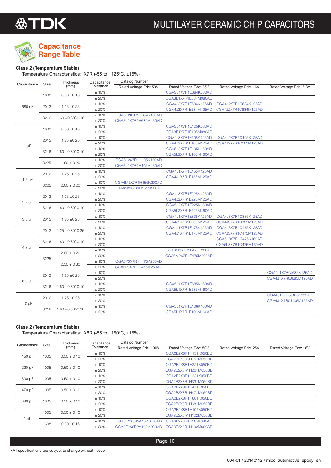

## **Capacitance Range Table**

### **Class 2 (Temperature Stable)**

Temperature Characteristics: X7R (-55 to +125ºC, ±15%)

| Capacitance | Size                        | Thickness             | Capacitance | <b>Catalog Number</b>  |                        |                        |                         |
|-------------|-----------------------------|-----------------------|-------------|------------------------|------------------------|------------------------|-------------------------|
|             |                             | (mm)                  | Tolerance   | Rated Voltage Edc: 50V | Rated Voltage Edc: 25V | Rated Voltage Edc: 16V | Rated Voltage Edc: 6.3V |
|             | 1608                        | $0.80 \pm 0.15$       | ±10%        |                        | CGA3E1X7R1E684K080AD   |                        |                         |
|             |                             |                       | ± 20%       |                        | CGA3E1X7R1E684M080AD   |                        |                         |
| 680 nF      | 2012                        | $1.25 \pm 0.25$       | $\pm$ 10%   |                        | CGA4J3X7R1E684K125AD   | CGA4J2X7R1C684K125AD   |                         |
|             |                             |                       | ±20%        |                        | CGA4J3X7R1E684M125AD   | CGA4J2X7R1C684M125AD   |                         |
|             | 3216                        |                       | $\pm$ 10%   | CGA5L2X7R1H684K160AD   |                        |                        |                         |
|             |                             | $1.60 + 0.30/-0.10$   | $\pm$ 20%   | CGA5L2X7R1H684M160AD   |                        |                        |                         |
|             | 1608                        | $0.80 \pm 0.15$       | $\pm$ 10%   |                        | CGA3E1X7R1E105K080AD   |                        |                         |
|             |                             |                       | ± 20%       |                        | CGA3E1X7R1E105M080AD   |                        |                         |
|             |                             | $1.25 \pm 0.25$       | ±10%        |                        | CGA4J3X7R1E105K125AD   | CGA4J2X7R1C105K125AD   |                         |
| $1 \mu F$   | 2012                        |                       | ±20%        |                        | CGA4J3X7R1E105M125AD   | CGA4J2X7R1C105M125AD   |                         |
|             |                             |                       | $\pm$ 10%   |                        | CGA5L2X7R1E105K160AD   |                        |                         |
|             | 3216                        | $1.60 + 0.30/-0.10$ - | ± 20%       |                        | CGA5L2X7R1E105M160AD   |                        |                         |
|             |                             |                       | $\pm$ 10%   | CGA6L2X7R1H105K160AD   |                        |                        |                         |
|             | 3225                        | $1.60 \pm 0.20$       | ± 20%       | CGA6L2X7R1H105M160AD   |                        |                        |                         |
|             |                             |                       | $\pm$ 10%   |                        | CGA4J1X7R1E155K125AD   |                        |                         |
|             | 2012                        | $1.25 \pm 0.25$       | ±20%        |                        | CGA4J1X7R1E155M125AD   |                        |                         |
| $1.5 \mu F$ |                             |                       | ±10%        | CGA6M2X7R1H155K200AD   |                        |                        |                         |
|             | 3225                        | $2.00 \pm 0.20$       | $\pm$ 20%   | CGA6M2X7R1H155M200AD   |                        |                        |                         |
|             |                             |                       | $\pm$ 10%   |                        | CGA4J3X7R1E225K125AD   |                        |                         |
|             | 2012                        | $1.25 \pm 0.25$       | ± 20%       |                        | CGA4J3X7R1E225M125AD   |                        |                         |
| $2.2 \mu F$ |                             |                       | $\pm$ 10%   |                        | CGA5L2X7R1E225K160AD   |                        |                         |
|             | 3216                        | $1.60 + 0.30/-0.10$   | $\pm$ 20%   |                        | CGA5L2X7R1E225M160AD   |                        |                         |
|             |                             |                       | ±10%        |                        | CGA4J1X7R1E335K125AD   | CGA4J3X7R1C335K125AD   |                         |
| $3.3 \mu F$ | 2012                        | $1.25 \pm 0.25$       | $\pm$ 20%   |                        | CGA4J1X7R1E335M125AD   | CGA4J3X7R1C335M125AD   |                         |
|             |                             |                       | $\pm$ 10%   |                        | CGA4J1X7R1E475K125AD   | CGA4J3X7R1C475K125AD   |                         |
|             | 2012                        | $1.25 + 0.30/-0.25$   | ± 20%       |                        | CGA4J1X7R1E475M125AD   | CGA4J3X7R1C475M125AD   |                         |
|             |                             |                       | $\pm$ 10%   |                        |                        | CGA5L3X7R1C475K160AD   |                         |
|             | 3216                        | $1.60 + 0.30/-0.10$   | $\pm$ 20%   |                        |                        | CGA5L3X7R1C475M160AD   |                         |
| $4.7 \mu F$ |                             |                       | ±10%        |                        | CGA6M2X7R1E475K200AD   |                        |                         |
|             |                             | $2.00 \pm 0.20$       | $\pm$ 20%   |                        | CGA6M2X7R1E475M200AD   |                        |                         |
|             | 3225                        |                       | ±10%        | CGA6P3X7R1H475K250AD   |                        |                        |                         |
|             |                             | $2.50 \pm 0.30$       | ± 20%       | CGA6P3X7R1H475M250AD   |                        |                        |                         |
|             |                             |                       | ±10%        |                        |                        |                        | CGA4J1X7R0J685K125AD    |
|             | 2012                        | $1.25 \pm 0.25$       | $\pm$ 20%   |                        |                        |                        | CGA4J1X7R0J685M125AD    |
| $6.8 \mu F$ |                             |                       | $\pm$ 10%   |                        | CGA5L1X7R1E685K160AD   |                        |                         |
|             | 3216                        | $1.60 + 0.30/-0.10$   | ±20%        |                        | CGA5L1X7R1E685M160AD   |                        |                         |
|             |                             |                       | $\pm$ 10%   |                        |                        |                        | CGA4J1X7R0J106K125AD    |
|             | 2012                        | $1.25 \pm 0.25$       | ±20%        |                        |                        |                        | CGA4J1X7R0J106M125AD    |
| $10 \mu F$  |                             |                       | $\pm$ 10%   |                        | CGA5L1X7R1E106K160AD   |                        |                         |
|             | $1.60 + 0.30/-0.10$<br>3216 | ±20%                  |             | CGA5L1X7R1E106M160AD   |                        |                        |                         |

### **Class 2 (Temperature Stable)**

Temperature Characteristics: X8R (-55 to +150ºC, ±15%)

| Capacitance | Size                    | <b>Thickness</b> | Capacitance | Catalog Number          |                        |                        |                        |
|-------------|-------------------------|------------------|-------------|-------------------------|------------------------|------------------------|------------------------|
|             |                         | (mm)             | Tolerance   | Rated Voltage Edc: 100V | Rated Voltage Edc: 50V | Rated Voltage Edc: 25V | Rated Voltage Edc: 16V |
| 150 pF      | 1005                    | $0.50 \pm 0.10$  | $±10\%$     |                         | CGA2B2X8R1H151K050BD   |                        |                        |
|             |                         |                  | ±20%        |                         | CGA2B2X8R1H151M050BD   |                        |                        |
| 220 pF      | 1005                    | $0.50 \pm 0.10$  | ±10%        |                         | CGA2B2X8R1H221K050BD   |                        |                        |
|             |                         | $±20\%$          |             | CGA2B2X8R1H221M050BD    |                        |                        |                        |
|             | 1005                    | $0.50 \pm 0.10$  | $±10\%$     |                         | CGA2B2X8R1H331K050BD   |                        |                        |
|             | 330 pF                  |                  | $±20\%$     |                         | CGA2B2X8R1H331M050BD   |                        |                        |
| 470 pF      | 1005                    | $0.50 \pm 0.10$  | ±10%        |                         | CGA2B2X8R1H471K050BD   |                        |                        |
|             |                         |                  | ±20%        |                         | CGA2B2X8R1H471M050BD   |                        |                        |
|             |                         | $0.50 \pm 0.10$  | $±10\%$     |                         | CGA2B2X8R1H681K050BD   |                        |                        |
| 680 pF      | 1005                    |                  | ±20%        |                         | CGA2B2X8R1H681M050BD   |                        |                        |
|             |                         |                  | $±10\%$     |                         | CGA2B2X8R1H102K050BD   |                        |                        |
| 1 nF        | 1005<br>$0.50 \pm 0.10$ |                  | $±20\%$     |                         | CGA2B2X8R1H102M050BD   |                        |                        |
|             |                         |                  | $±10\%$     | CGA3E2X8R2A102K080AD    | CGA3E2X8R1H102K080AD   |                        |                        |
|             | $0.80 \pm 0.15$<br>1608 |                  | $±20\%$     | CGA3E2X8R2A102M080AD    | CGA3E2X8R1H102M080AD   |                        |                        |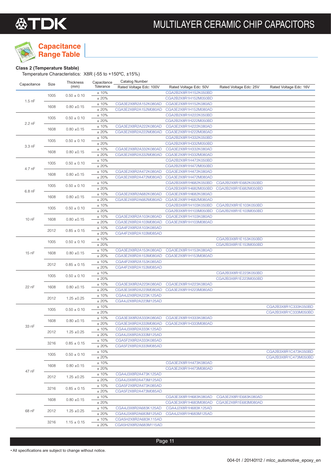

## **Capacitance Range Table**

### **Class 2 (Temperature Stable)**

Temperature Characteristics: X8R (-55 to +150ºC, ±15%)

| Capacitance | Size | Thickness | Capacitance | Catalog Number |
|-------------|------|-----------|-------------|----------------|
|             |      | (mm)      | Tolerance   |                |

| Capacitance | <b>SIZE</b>  | (mm)                               | Tolerance | Rated Voltage Edc: 100V | Rated Voltage Edc: 50V | Rated Voltage Edc: 25V | Rated Voltage Edc: 16V |
|-------------|--------------|------------------------------------|-----------|-------------------------|------------------------|------------------------|------------------------|
| $1.5$ nF    | 1005         | $0.50 \pm 0.10$                    | ±10%      |                         | CGA2B2X8R1H152K050BD   |                        |                        |
|             |              |                                    | ± 20%     |                         | CGA2B2X8R1H152M050BD   |                        |                        |
|             | 1608         |                                    | ±10%      | CGA3E2X8R2A152K080AD    | CGA3E2X8R1H152K080AD   |                        |                        |
|             |              | $0.80 + 0.15$                      | ±20%      | CGA3E2X8R2A152M080AD    | CGA3E2X8R1H152M080AD   |                        |                        |
|             |              |                                    | ±10%      |                         | CGA2B2X8R1H222K050BD   |                        |                        |
|             | 1005         | $0.50 \pm 0.10$                    | $\pm$ 20% |                         | CGA2B2X8R1H222M050BD   |                        |                        |
| 2.2 nF      | 1608         | $0.80 \pm 0.15$                    | $\pm$ 10% | CGA3E2X8R2A222K080AD    | CGA3E2X8R1H222K080AD   |                        |                        |
|             |              |                                    | ±20%      | CGA3E2X8R2A222M080AD    | CGA3E2X8R1H222M080AD   |                        |                        |
| $3.3$ nF    | 1005         | $0.50\pm0.10$                      | ±10%      |                         | CGA2B2X8R1H332K050BD   |                        |                        |
|             |              |                                    | ±20%      |                         | CGA2B2X8R1H332M050BD   |                        |                        |
|             | 1608         | $0.80 \pm 0.15$                    | ±10%      | CGA3E2X8R2A332K080AD    | CGA3E2X8R1H332K080AD   |                        |                        |
|             |              |                                    | ±20%      | CGA3E2X8R2A332M080AD    | CGA3E2X8R1H332M080AD   |                        |                        |
|             |              |                                    | ±10%      |                         | CGA2B2X8R1H472K050BD   |                        |                        |
| 4.7 nF      | 1005<br>1608 | $0.50 \pm 0.10$                    | ± 20%     |                         | CGA2B2X8R1H472M050BD   |                        |                        |
|             |              |                                    | ±10%      | CGA3E2X8R2A472K080AD    | CGA3E2X8R1H472K080AD   |                        |                        |
|             |              | $0.80\; {\pm}0.15$                 | ±20%      | CGA3E2X8R2A472M080AD    | CGA3E2X8R1H472M080AD   |                        |                        |
|             | 1005         | $0.50 \pm 0.10$                    | ± 10%     |                         | CGA2B3X8R1H682K050BD   | CGA2B2X8R1E682K050BD   |                        |
|             |              |                                    | $\pm$ 20% |                         | CGA2B3X8R1H682M050BD   | CGA2B2X8R1E682M050BD   |                        |
| 6.8 nF      |              |                                    | ±10%      | CGA3E2X8R2A682K080AD    | CGA3E2X8R1H682K080AD   |                        |                        |
|             | 1608         | $0.80 \pm 0.15$                    | ±20%      | CGA3E2X8R2A682M080AD    | CGA3E2X8R1H682M080AD   |                        |                        |
|             |              |                                    | ±10%      |                         | CGA2B3X8R1H103K050BD   | CGA2B2X8R1E103K050BD   |                        |
|             | 1005         | $0.50 \pm 0.10$                    | $\pm$ 20% |                         | CGA2B3X8R1H103M050BD   | CGA2B2X8R1E103M050BD   |                        |
|             |              |                                    | ±10%      | CGA3E2X8R2A103K080AD    | CGA3E2X8R1H103K080AD   |                        |                        |
| 10 nF       | 1608         | $0.80 \pm 0.15$                    | $\pm$ 20% | CGA3E2X8R2A103M080AD    | CGA3E2X8R1H103M080AD   |                        |                        |
|             |              | $0.85 \pm 0.15$                    | ±10%      | CGA4F2X8R2A103K085AD    |                        |                        |                        |
|             | 2012         |                                    | ±20%      | CGA4F2X8R2A103M085AD    |                        |                        |                        |
|             |              | $0.50 \pm 0.10$                    | ±10%      |                         |                        | CGA2B3X8R1E153K050BD   |                        |
|             | 1005         |                                    | $\pm$ 20% |                         |                        | CGA2B3X8R1E153M050BD   |                        |
|             |              |                                    | ±10%      | CGA3E2X8R2A153K080AD    | CGA3E2X8R1H153K080AD   |                        |                        |
| 15 nF       | 1608         | $0.80 \pm 0.15$                    | $\pm$ 20% | CGA3E2X8R2A153M080AD    | CGA3E2X8R1H153M080AD   |                        |                        |
|             | 2012         | $0.85\pm0.15$                      | ±10%      | CGA4F2X8R2A153K085AD    |                        |                        |                        |
|             |              |                                    | ±20%      | CGA4F2X8R2A153M085AD    |                        |                        |                        |
|             | 1005         | $0.50 \pm 0.10$                    | ±10%      |                         |                        | CGA2B3X8R1E223K050BD   |                        |
|             |              |                                    | ± 20%     |                         |                        | CGA2B3X8R1E223M050BD   |                        |
| 22 nF       | 1608         | $0.80 \pm 0.15$                    | ±10%      | CGA3E3X8R2A223K080AD    | CGA3E2X8R1H223K080AD   |                        |                        |
|             |              |                                    | ±20%      | CGA3E3X8R2A223M080AD    | CGA3E2X8R1H223M080AD   |                        |                        |
|             | 2012         | $1.25 \pm 0.25$                    | ±10%      | CGA4J2X8R2A223K125AD    |                        |                        |                        |
|             |              |                                    | $\pm$ 20% | CGA4J2X8R2A223M125AD    |                        |                        |                        |
|             | 1005<br>1608 | $0.50 \pm 0.10$<br>$0.80 \pm 0.15$ | $\pm$ 10% |                         |                        |                        | CGA2B3X8R1C333K050BD   |
|             |              |                                    | ± 20%     |                         |                        |                        | CGA2B3X8R1C333M050BD   |
|             |              |                                    | ±10%      | CGA3E3X8R2A333K080AD    | CGA3E2X8R1H333K080AD   |                        |                        |
| 33 nF       |              |                                    | ±20%      | CGA3E3X8R2A333M080AD    | CGA3E2X8R1H333M080AD   |                        |                        |
|             | 2012         | $1.25 \pm 0.25$                    | ±10%      | CGA4J3X8R2A333K125AD    |                        |                        |                        |
|             |              |                                    | ± 20%     | CGA4J3X8R2A333M125AD    |                        |                        |                        |
|             | 3216         | $0.85 \pm 0.15$                    | ±10%      | CGA5F2X8R2A333K085AD    |                        |                        |                        |
|             |              |                                    | ±20%      | CGA5F2X8R2A333M085AD    |                        |                        |                        |
|             | 1005         | $0.50 \pm 0.10$                    | ±10%      |                         |                        |                        | CGA2B3X8R1C473K050BD   |
|             |              |                                    | ± 20%     |                         |                        |                        | CGA2B3X8R1C473M050BD   |
|             | 1608<br>2012 | $0.80 \pm 0.15$<br>$1.25 \pm 0.25$ | ± 10%     |                         | CGA3E2X8R1H473K080AD   |                        |                        |
| 47 nF       |              |                                    | ±20%      |                         | CGA3E2X8R1H473M080AD   |                        |                        |
|             |              |                                    | ±10%      | CGA4J3X8R2A473K125AD    |                        |                        |                        |
|             |              |                                    | ± 20%     | CGA4J3X8R2A473M125AD    |                        |                        |                        |
|             | 3216         | $0.85 \pm 0.15$                    | ± 10%     | CGA5F2X8R2A473K085AD    |                        |                        |                        |
|             |              |                                    | ± 20%     | CGA5F2X8R2A473M085AD    |                        |                        |                        |
| 68 nF       | 1608         | $0.80 \pm 0.15$                    | $±10\%$   |                         | CGA3E3X8R1H683K080AD   | CGA3E2X8R1E683K080AD   |                        |
|             |              |                                    | ±20%      |                         | CGA3E3X8R1H683M080AD   | CGA3E2X8R1E683M080AD   |                        |
|             | 2012         | $1.25 \pm 0.25$                    | ±10%      | CGA4J3X8R2A683K125AD    | CGA4J2X8R1H683K125AD   |                        |                        |
|             |              |                                    | ± 20%     | CGA4J3X8R2A683M125AD    | CGA4J2X8R1H683M125AD   |                        |                        |
|             | 3216         | $1.15 \pm 0.15$                    | $±10\%$   | CGA5H2X8R2A683K115AD    |                        |                        |                        |
|             |              |                                    | ± 20%     | CGA5H2X8R2A683M115AD    |                        |                        |                        |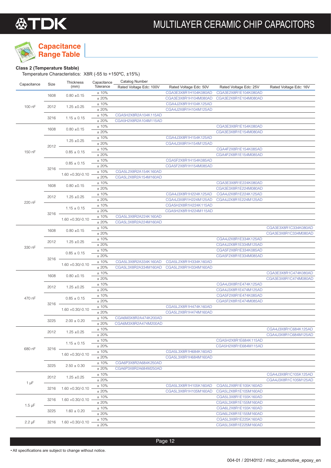

## **Capacitance Range Table**

### **Class 2 (Temperature Stable)**

Temperature Characteristics: X8R (-55 to +150ºC, ±15%)

|             | Size         | Thickness                                                 | Capacitance   | Catalog Number          |                        |                        |                        |
|-------------|--------------|-----------------------------------------------------------|---------------|-------------------------|------------------------|------------------------|------------------------|
| Capacitance |              | (mm)                                                      | Tolerance     | Rated Voltage Edc: 100V | Rated Voltage Edc: 50V | Rated Voltage Edc: 25V | Rated Voltage Edc: 16V |
| 100 nF      | 1608         | $0.80 \pm 0.15$                                           | ±10%          |                         | CGA3E3X8R1H104K080AD   | CGA3E2X8R1E104K080AD   |                        |
|             |              |                                                           | ±20%          |                         | CGA3E3X8R1H104M080AD   | CGA3E2X8R1E104M080AD   |                        |
|             | 2012         | $1.25 \pm 0.25$                                           | ±10%          |                         | CGA4J2X8R1H104K125AD   |                        |                        |
|             |              |                                                           | ±20%          |                         | CGA4J2X8R1H104M125AD   |                        |                        |
|             | 3216         | $1.15 \pm 0.15$                                           | ±10%          | CGA5H2X8R2A104K115AD    |                        |                        |                        |
|             |              |                                                           | ±20%          | CGA5H2X8R2A104M115AD    |                        |                        |                        |
|             | 1608         | $0.80 \pm 0.15$                                           | ±10%          |                         |                        | CGA3E3X8R1E154K080AD   |                        |
|             |              |                                                           | ±20%          |                         |                        | CGA3E3X8R1E154M080AD   |                        |
|             | $2012 -$     | $1.25 \pm 0.25$                                           | ±10%          |                         | CGA4J3X8R1H154K125AD   |                        |                        |
|             |              |                                                           | ±20%          |                         | CGA4J3X8R1H154M125AD   | CGA4F2X8R1E154K085AD   |                        |
| 150 nF      |              | $0.85 \pm 0.15$                                           | ±10%<br>±20%  |                         |                        | CGA4F2X8R1E154M085AD   |                        |
|             |              |                                                           | ±10%          |                         | CGA5F2X8R1H154K085AD   |                        |                        |
|             |              | $0.85 \pm 0.15$                                           | ±20%          |                         | CGA5F2X8R1H154M085AD   |                        |                        |
|             | $3216 -$     | $1.60 + 0.30/-0.10$                                       | ±10%          | CGA5L2X8R2A154K160AD    |                        |                        |                        |
|             |              |                                                           | ±20%          | CGA5L2X8R2A154M160AD    |                        |                        |                        |
|             |              |                                                           | ±10%          |                         |                        | CGA3E3X8R1E224K080AD   |                        |
|             | 1608         | $0.80 \pm 0.15$<br>$1.25 \pm 0.25$                        | ±20%          |                         |                        | CGA3E3X8R1E224M080AD   |                        |
|             |              |                                                           | ±10%          |                         | CGA4J3X8R1H224K125AD   | CGA4J2X8R1E224K125AD   |                        |
|             | 2012         |                                                           | ±20%          |                         | CGA4J3X8R1H224M125AD   | CGA4J2X8R1E224M125AD   |                        |
| 220 nF      |              | $1.15 \pm 0.15$                                           | ±10%          |                         | CGA5H2X8R1H224K115AD   |                        |                        |
|             |              |                                                           | ±20%          |                         | CGA5H2X8R1H224M115AD   |                        |                        |
|             | 3216         |                                                           | ±10%          | CGA5L3X8R2A224K160AD    |                        |                        |                        |
|             |              | $1.60 + 0.30/-0.10$                                       | ±20%          | CGA5L3X8R2A224M160AD    |                        |                        |                        |
|             |              |                                                           | ±10%          |                         |                        |                        | CGA3E3X8R1C334K080AD   |
|             | 1608         | $0.80 \pm 0.15$                                           | ±20%          |                         |                        |                        | CGA3E3X8R1C334M080AD   |
|             |              | $1.25 \pm 0.25$                                           | ±10%          |                         |                        | CGA4J2X8R1E334K125AD   |                        |
|             | 2012         |                                                           | ±20%          |                         |                        | CGA4J2X8R1E334M125AD   |                        |
| 330 nF      |              | $0.85 \pm 0.15$                                           | ±10%          |                         |                        | CGA5F2X8R1E334K085AD   |                        |
|             | $3216 -$     |                                                           | ±20%          |                         |                        | CGA5F2X8R1E334M085AD   |                        |
|             |              | $1.60 + 0.30/-0.10$                                       | ±10%          | CGA5L3X8R2A334K160AD    | CGA5L2X8R1H334K160AD   |                        |                        |
|             |              |                                                           | ±20%          | CGA5L3X8R2A334M160AD    | CGA5L2X8R1H334M160AD   |                        |                        |
|             | 1608         | $0.80 \pm 0.15$                                           | ±10%          |                         |                        |                        | CGA3E3X8R1C474K080AD   |
|             |              |                                                           | ±20%          |                         |                        |                        | CGA3E3X8R1C474M080AD   |
|             | 2012         | $1.25 \pm 0.25$                                           | ±10%          |                         |                        | CGA4J3X8R1E474K125AD   |                        |
|             |              |                                                           | ±20%          |                         |                        | CGA4J3X8R1E474M125AD   |                        |
| 470 nF      | $3216 -$     | $0.85 \pm 0.15$<br>$1.60 + 0.30/-0.10$                    | ±10%          |                         |                        | CGA5F2X8R1E474K085AD   |                        |
|             |              |                                                           | ±20%          |                         |                        | CGA5F2X8R1E474M085AD   |                        |
|             |              |                                                           | ±10%          |                         | CGA5L2X8R1H474K160AD   |                        |                        |
|             |              |                                                           | ±20%          |                         | CGA5L2X8R1H474M160AD   |                        |                        |
|             | 3225         | $2.00 \pm 0.20$                                           | ±10%          | CGA6M3X8R2A474K200AD    |                        |                        |                        |
|             |              |                                                           | ±20%          | CGA6M3X8R2A474M200AD    |                        |                        |                        |
| 680 nF      | 2012         | $1.25 \pm 0.25$<br>$1.15 \pm 0.15$<br>$1.60 + 0.30/-0.10$ | ±10%          |                         |                        |                        | CGA4J3X8R1C684K125AD   |
|             |              |                                                           | ± 20%         |                         |                        | CGA5H2X8R1E684K115AD   | CGA4J3X8R1C684M125AD   |
|             |              |                                                           | ±10%<br>± 20% |                         |                        | CGA5H2X8R1E684M115AD   |                        |
|             | $3216 -$     |                                                           |               |                         | CGA5L3X8R1H684K160AD   |                        |                        |
|             |              |                                                           | ±10%<br>±20%  |                         | CGA5L3X8R1H684M160AD   |                        |                        |
|             | 3225<br>2012 | $2.50 \pm 0.30$<br>$1.25 \pm 0.25$                        | ±10%          | CGA6P3X8R2A684K250AD    |                        |                        |                        |
|             |              |                                                           | ±20%          | CGA6P3X8R2A684M250AD    |                        |                        |                        |
|             |              |                                                           | ±10%          |                         |                        |                        | CGA4J3X8R1C105K125AD   |
| $1 \mu F$   |              |                                                           | ± 20%         |                         |                        |                        | CGA4J3X8R1C105M125AD   |
|             | 3216         | $1.60 + 0.30/-0.10$                                       | ±10%          |                         | CGA5L3X8R1H105K160AD   | CGA5L2X8R1E105K160AD   |                        |
|             |              |                                                           | ±20%          |                         | CGA5L3X8R1H105M160AD   | CGA5L2X8R1E105M160AD   |                        |
|             |              |                                                           | ±10%          |                         |                        | CGA5L3X8R1E155K160AD   |                        |
| $1.5 \mu F$ | 3216<br>3225 | $1.60 + 0.30/-0.10$<br>$1.60 \pm 0.20$                    | ±20%          |                         |                        | CGA5L3X8R1E155M160AD   |                        |
|             |              |                                                           | ±10%          |                         |                        | CGA6L2X8R1E155K160AD   |                        |
|             |              |                                                           | ±20%          |                         |                        | CGA6L2X8R1E155M160AD   |                        |
|             |              |                                                           | ±10%          |                         |                        | CGA5L3X8R1E225K160AD   |                        |
| $2.2 \mu F$ | 3216         | $1.60 + 0.30/-0.10$                                       | ± 20%         |                         |                        | CGA5L3X8R1E225M160AD   |                        |
|             |              |                                                           |               |                         |                        |                        |                        |

Page 12